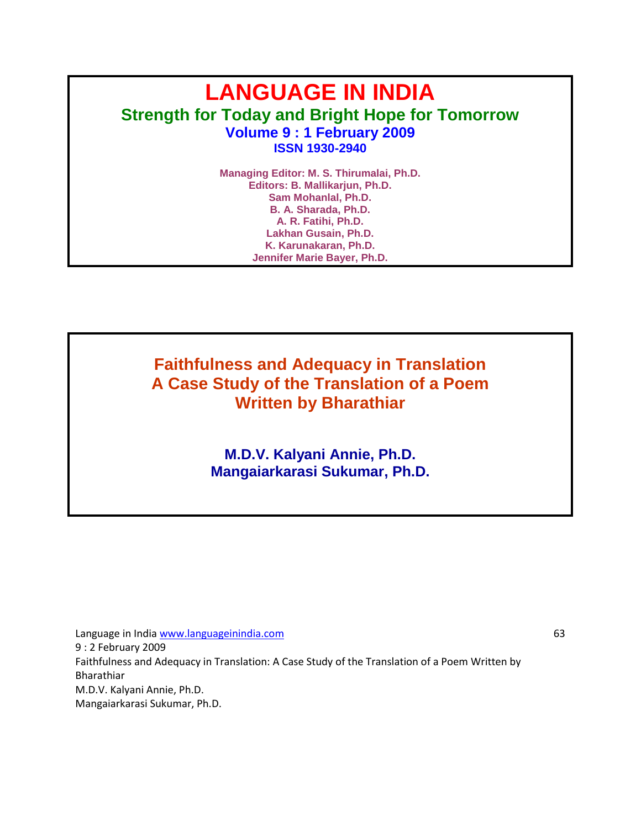# **LANGUAGE IN INDIA Strength for Today and Bright Hope for Tomorrow Volume 9 : 1 February 2009 ISSN 1930-2940**

**Managing Editor: M. S. Thirumalai, Ph.D. Editors: B. Mallikarjun, Ph.D. Sam Mohanlal, Ph.D. B. A. Sharada, Ph.D. A. R. Fatihi, Ph.D. Lakhan Gusain, Ph.D. K. Karunakaran, Ph.D. Jennifer Marie Bayer, Ph.D.**

**Faithfulness and Adequacy in Translation A Case Study of the Translation of a Poem Written by Bharathiar**

> **M.D.V. Kalyani Annie, Ph.D. Mangaiarkarasi Sukumar, Ph.D.**

Language in India www.languageinindia.com 63 9 : 2 February 2009 Faithfulness and Adequacy in Translation: A Case Study of the Translation of a Poem Written by Bharathiar M.D.V. Kalyani Annie, Ph.D. Mangaiarkarasi Sukumar, Ph.D.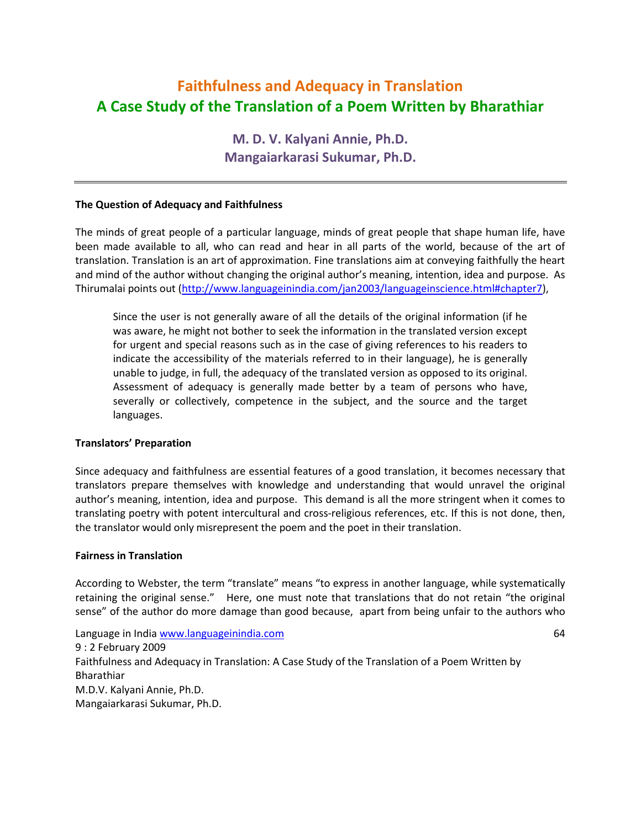# **Faithfulness and Adequacy in Translation A Case Study of the Translation of a Poem Written by Bharathiar**

**M. D. V. Kalyani Annie, Ph.D. Mangaiarkarasi Sukumar, Ph.D.**

# **The Question of Adequacy and Faithfulness**

The minds of great people of a particular language, minds of great people that shape human life, have been made available to all, who can read and hear in all parts of the world, because of the art of translation. Translation is an art of approximation. Fine translations aim at conveying faithfully the heart and mind of the author without changing the original author's meaning, intention, idea and purpose. As Thirumalai points out [\(http://www.languageinindia.com/jan2003/languageinscience.html#chapter7\)](http://www.languageinindia.com/jan2003/languageinscience.html#chapter7),

Since the user is not generally aware of all the details of the original information (if he was aware, he might not bother to seek the information in the translated version except for urgent and special reasons such as in the case of giving references to his readers to indicate the accessibility of the materials referred to in their language), he is generally unable to judge, in full, the adequacy of the translated version as opposed to its original. Assessment of adequacy is generally made better by a team of persons who have, severally or collectively, competence in the subject, and the source and the target languages.

#### **Translators' Preparation**

Since adequacy and faithfulness are essential features of a good translation, it becomes necessary that translators prepare themselves with knowledge and understanding that would unravel the original author's meaning, intention, idea and purpose. This demand is all the more stringent when it comes to translating poetry with potent intercultural and cross-religious references, etc. If this is not done, then, the translator would only misrepresent the poem and the poet in their translation.

#### **Fairness in Translation**

According to Webster, the term "translate" means "to express in another language, while systematically retaining the original sense." Here, one must note that translations that do not retain "the original sense" of the author do more damage than good because, apart from being unfair to the authors who

Language in India www.languageinindia.com 64 9 : 2 February 2009 Faithfulness and Adequacy in Translation: A Case Study of the Translation of a Poem Written by Bharathiar M.D.V. Kalyani Annie, Ph.D. Mangaiarkarasi Sukumar, Ph.D.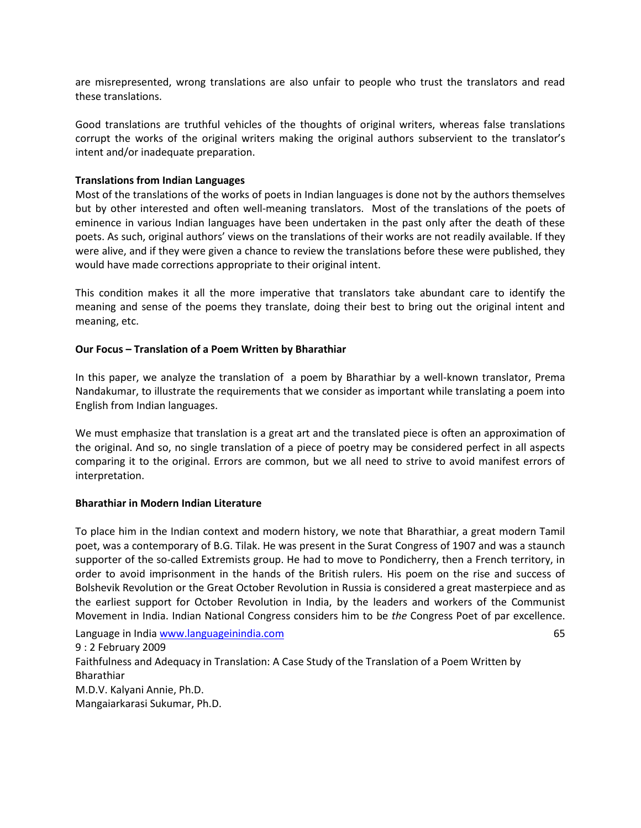are misrepresented, wrong translations are also unfair to people who trust the translators and read these translations.

Good translations are truthful vehicles of the thoughts of original writers, whereas false translations corrupt the works of the original writers making the original authors subservient to the translator's intent and/or inadequate preparation.

# **Translations from Indian Languages**

Most of the translations of the works of poets in Indian languages is done not by the authors themselves but by other interested and often well-meaning translators. Most of the translations of the poets of eminence in various Indian languages have been undertaken in the past only after the death of these poets. As such, original authors' views on the translations of their works are not readily available. If they were alive, and if they were given a chance to review the translations before these were published, they would have made corrections appropriate to their original intent.

This condition makes it all the more imperative that translators take abundant care to identify the meaning and sense of the poems they translate, doing their best to bring out the original intent and meaning, etc.

#### **Our Focus – Translation of a Poem Written by Bharathiar**

In this paper, we analyze the translation of a poem by Bharathiar by a well-known translator, Prema Nandakumar, to illustrate the requirements that we consider as important while translating a poem into English from Indian languages.

We must emphasize that translation is a great art and the translated piece is often an approximation of the original. And so, no single translation of a piece of poetry may be considered perfect in all aspects comparing it to the original. Errors are common, but we all need to strive to avoid manifest errors of interpretation.

#### **Bharathiar in Modern Indian Literature**

To place him in the Indian context and modern history, we note that Bharathiar, a great modern Tamil poet, was a contemporary of B.G. Tilak. He was present in the Surat Congress of 1907 and was a staunch supporter of the so-called Extremists group. He had to move to Pondicherry, then a French territory, in order to avoid imprisonment in the hands of the British rulers. His poem on the rise and success of Bolshevik Revolution or the Great October Revolution in Russia is considered a great masterpiece and as the earliest support for October Revolution in India, by the leaders and workers of the Communist Movement in India. Indian National Congress considers him to be *the* Congress Poet of par excellence.

Language in India www.languageinindia.com 65 9 : 2 February 2009 Faithfulness and Adequacy in Translation: A Case Study of the Translation of a Poem Written by Bharathiar M.D.V. Kalyani Annie, Ph.D. Mangaiarkarasi Sukumar, Ph.D.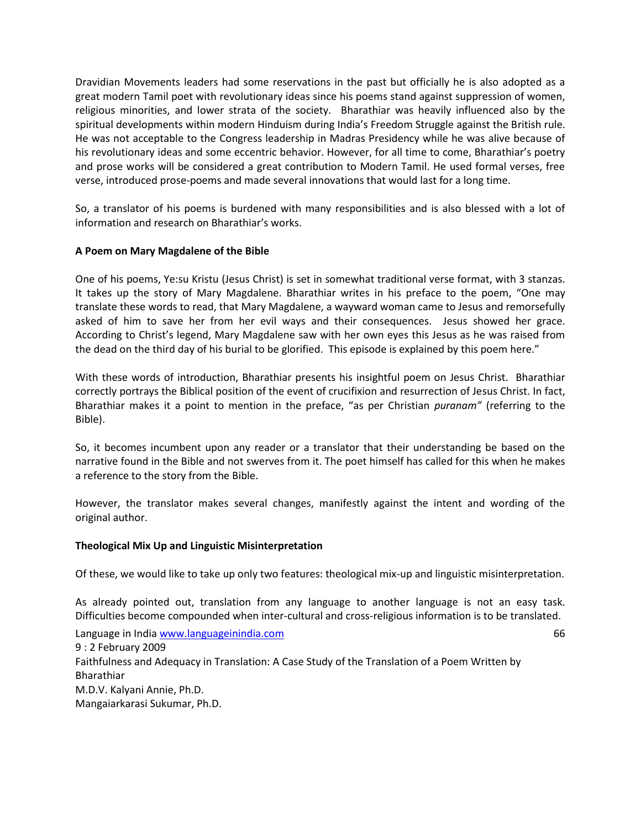Dravidian Movements leaders had some reservations in the past but officially he is also adopted as a great modern Tamil poet with revolutionary ideas since his poems stand against suppression of women, religious minorities, and lower strata of the society. Bharathiar was heavily influenced also by the spiritual developments within modern Hinduism during India's Freedom Struggle against the British rule. He was not acceptable to the Congress leadership in Madras Presidency while he was alive because of his revolutionary ideas and some eccentric behavior. However, for all time to come, Bharathiar's poetry and prose works will be considered a great contribution to Modern Tamil. He used formal verses, free verse, introduced prose-poems and made several innovations that would last for a long time.

So, a translator of his poems is burdened with many responsibilities and is also blessed with a lot of information and research on Bharathiar's works.

# **A Poem on Mary Magdalene of the Bible**

One of his poems, Ye:su Kristu (Jesus Christ) is set in somewhat traditional verse format, with 3 stanzas. It takes up the story of Mary Magdalene. Bharathiar writes in his preface to the poem, "One may translate these words to read, that Mary Magdalene, a wayward woman came to Jesus and remorsefully asked of him to save her from her evil ways and their consequences. Jesus showed her grace. According to Christ's legend, Mary Magdalene saw with her own eyes this Jesus as he was raised from the dead on the third day of his burial to be glorified. This episode is explained by this poem here."

With these words of introduction, Bharathiar presents his insightful poem on Jesus Christ. Bharathiar correctly portrays the Biblical position of the event of crucifixion and resurrection of Jesus Christ. In fact, Bharathiar makes it a point to mention in the preface, "as per Christian *puranam"* (referring to the Bible).

So, it becomes incumbent upon any reader or a translator that their understanding be based on the narrative found in the Bible and not swerves from it. The poet himself has called for this when he makes a reference to the story from the Bible.

However, the translator makes several changes, manifestly against the intent and wording of the original author.

#### **Theological Mix Up and Linguistic Misinterpretation**

Of these, we would like to take up only two features: theological mix-up and linguistic misinterpretation.

As already pointed out, translation from any language to another language is not an easy task. Difficulties become compounded when inter-cultural and cross-religious information is to be translated.

Language in India www.languageinindia.com 66 9 : 2 February 2009 Faithfulness and Adequacy in Translation: A Case Study of the Translation of a Poem Written by Bharathiar M.D.V. Kalyani Annie, Ph.D. Mangaiarkarasi Sukumar, Ph.D.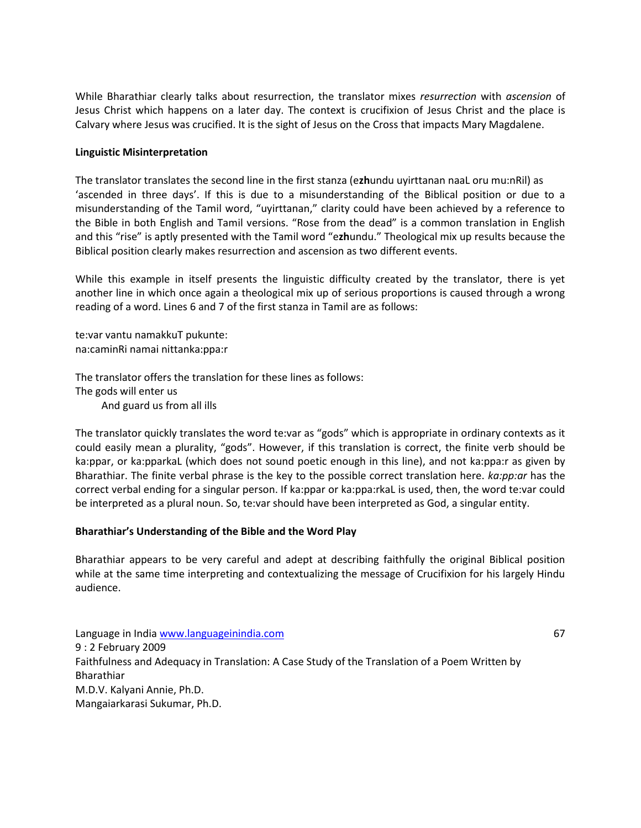While Bharathiar clearly talks about resurrection, the translator mixes *resurrection* with *ascension* of Jesus Christ which happens on a later day. The context is crucifixion of Jesus Christ and the place is Calvary where Jesus was crucified. It is the sight of Jesus on the Cross that impacts Mary Magdalene.

# **Linguistic Misinterpretation**

The translator translates the second line in the first stanza (e**zh**undu uyirttanan naaL oru mu:nRil) as 'ascended in three days'. If this is due to a misunderstanding of the Biblical position or due to a misunderstanding of the Tamil word, "uyirttanan," clarity could have been achieved by a reference to the Bible in both English and Tamil versions. "Rose from the dead" is a common translation in English and this "rise" is aptly presented with the Tamil word "e**zh**undu." Theological mix up results because the Biblical position clearly makes resurrection and ascension as two different events.

While this example in itself presents the linguistic difficulty created by the translator, there is yet another line in which once again a theological mix up of serious proportions is caused through a wrong reading of a word. Lines 6 and 7 of the first stanza in Tamil are as follows:

te:var vantu namakkuT pukunte: na:caminRi namai nittanka:ppa:r

The translator offers the translation for these lines as follows: The gods will enter us And guard us from all ills

The translator quickly translates the word te:var as "gods" which is appropriate in ordinary contexts as it could easily mean a plurality, "gods". However, if this translation is correct, the finite verb should be ka:ppar, or ka:pparkaL (which does not sound poetic enough in this line), and not ka:ppa:r as given by Bharathiar. The finite verbal phrase is the key to the possible correct translation here. *ka:pp:ar* has the correct verbal ending for a singular person. If ka:ppar or ka:ppa:rkaL is used, then, the word te:var could be interpreted as a plural noun. So, te:var should have been interpreted as God, a singular entity.

# **Bharathiar's Understanding of the Bible and the Word Play**

Bharathiar appears to be very careful and adept at describing faithfully the original Biblical position while at the same time interpreting and contextualizing the message of Crucifixion for his largely Hindu audience.

Language in India www.languageinindia.com 67 9 : 2 February 2009 Faithfulness and Adequacy in Translation: A Case Study of the Translation of a Poem Written by Bharathiar M.D.V. Kalyani Annie, Ph.D. Mangaiarkarasi Sukumar, Ph.D.